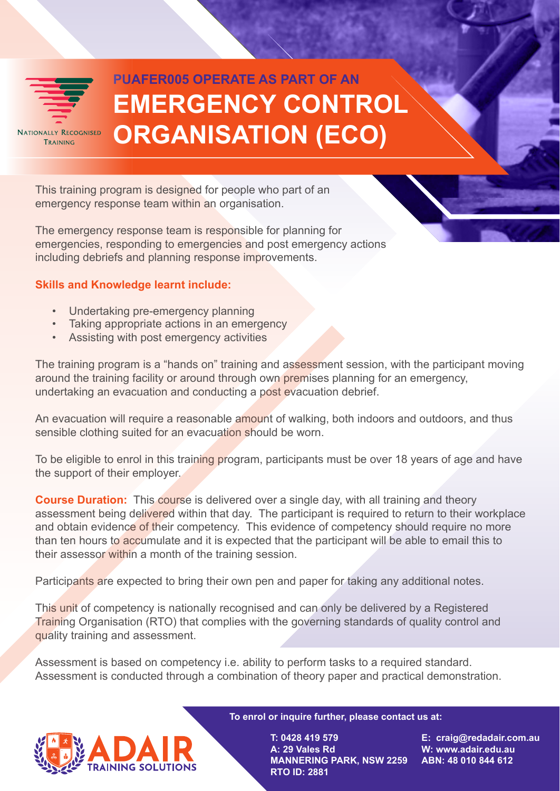

## **EMERGENCY CONTROL ORGANISATION (ECO) PUAFER005 OPERATE AS PART OF AN**

This training program is designed for people who part of an emergency response team within an organisation.

The emergency response team is responsible for planning for emergencies, responding to emergencies and post emergency actions including debriefs and planning response improvements.

## **Skills and Knowledge learnt include:**

- Undertaking pre-emergency planning
- Taking appropriate actions in an emergency
- Assisting with post emergency activities

The training program is a "hands on" training and assessment session, with the participant moving around the training facility or around through own premises planning for an emergency, undertaking an evacuation and conducting a post evacuation debrief.

An evacuation will require a reasonable amount of walking, both indoors and outdoors, and thus sensible clothing suited for an evacuation should be worn.

To be eligible to enrol in this training program, participants must be over 18 years of age and have the support of their employer.

**Course Duration:** This course is delivered over a single day, with all training and theory assessment being delivered within that day. The participant is required to return to their workplace and obtain evidence of their competency. This evidence of competency should require no more than ten hours to accumulate and it is expected that the participant will be able to email this to their assessor within a month of the training session.

Participants are expected to bring their own pen and paper for taking any additional notes.

This unit of competency is nationally recognised and can only be delivered by a Registered Training Organisation (RTO) that complies with the governing standards of quality control and quality training and assessment.

Assessment is based on competency i.e. ability to perform tasks to a required standard. Assessment is conducted through a combination of theory paper and practical demonstration.



**To enrol or inquire further, please contact us at:** 

**T: 0428 419 579 A: 29 Vales Rd MANNERING PARK, NSW 2259 ABN: 48 010 844 612 RTO ID: 2881**

**E: craig@redadair.com.au W: www.adair.edu.au**